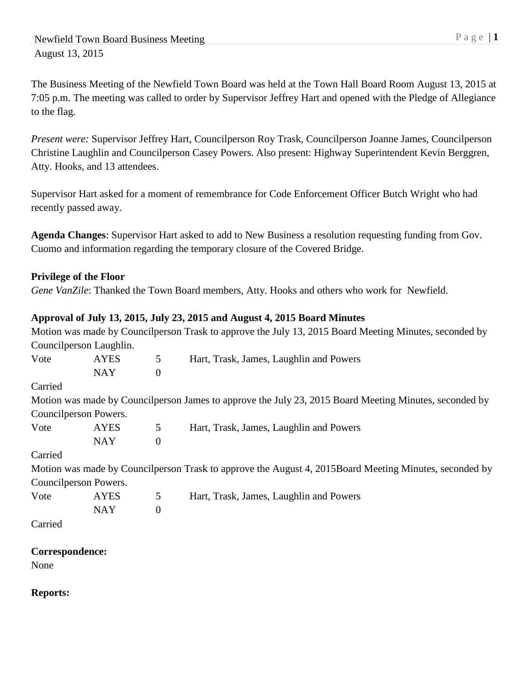The Business Meeting of the Newfield Town Board was held at the Town Hall Board Room August 13, 2015 at 7:05 p.m. The meeting was called to order by Supervisor Jeffrey Hart and opened with the Pledge of Allegiance to the flag.

*Present were:* Supervisor Jeffrey Hart, Councilperson Roy Trask, Councilperson Joanne James, Councilperson Christine Laughlin and Councilperson Casey Powers. Also present: Highway Superintendent Kevin Berggren, Atty. Hooks, and 13 attendees.

Supervisor Hart asked for a moment of remembrance for Code Enforcement Officer Butch Wright who had recently passed away.

**Agenda Changes**: Supervisor Hart asked to add to New Business a resolution requesting funding from Gov. Cuomo and information regarding the temporary closure of the Covered Bridge.

# **Privilege of the Floor**

*Gene VanZile*: Thanked the Town Board members, Atty. Hooks and others who work for Newfield.

# **Approval of July 13, 2015, July 23, 2015 and August 4, 2015 Board Minutes**

|         |                         |                  | Motion was made by Councilperson Trask to approve the July 13, 2015 Board Meeting Minutes, seconded by |
|---------|-------------------------|------------------|--------------------------------------------------------------------------------------------------------|
|         | Councilperson Laughlin. |                  |                                                                                                        |
| Vote    | <b>AYES</b>             | 5                | Hart, Trask, James, Laughlin and Powers                                                                |
|         | <b>NAY</b>              | $\boldsymbol{0}$ |                                                                                                        |
| Carried |                         |                  |                                                                                                        |
|         |                         |                  | Motion was made by Councilperson James to approve the July 23, 2015 Board Meeting Minutes, seconded by |
|         | Councilperson Powers.   |                  |                                                                                                        |
| Vote    | <b>AYES</b>             | 5                | Hart, Trask, James, Laughlin and Powers                                                                |
|         | <b>NAY</b>              | $\boldsymbol{0}$ |                                                                                                        |
| Carried |                         |                  |                                                                                                        |
|         |                         |                  | Motion was made by Councilperson Trask to approve the August 4, 2015Board Meeting Minutes, seconded by |
|         | Councilperson Powers.   |                  |                                                                                                        |
| Vote    | <b>AYES</b>             | 5                | Hart, Trask, James, Laughlin and Powers                                                                |
|         | <b>NAY</b>              | $\boldsymbol{0}$ |                                                                                                        |
| Carried |                         |                  |                                                                                                        |

**Correspondence:** 

None

**Reports:**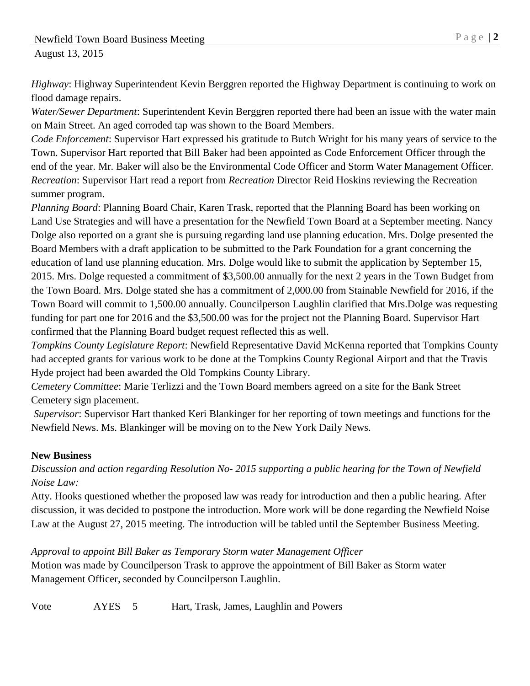*Highway*: Highway Superintendent Kevin Berggren reported the Highway Department is continuing to work on flood damage repairs.

*Water/Sewer Department*: Superintendent Kevin Berggren reported there had been an issue with the water main on Main Street. An aged corroded tap was shown to the Board Members.

*Code Enforcement*: Supervisor Hart expressed his gratitude to Butch Wright for his many years of service to the Town. Supervisor Hart reported that Bill Baker had been appointed as Code Enforcement Officer through the end of the year. Mr. Baker will also be the Environmental Code Officer and Storm Water Management Officer. *Recreation*: Supervisor Hart read a report from *Recreation* Director Reid Hoskins reviewing the Recreation summer program.

*Planning Board*: Planning Board Chair, Karen Trask, reported that the Planning Board has been working on Land Use Strategies and will have a presentation for the Newfield Town Board at a September meeting. Nancy Dolge also reported on a grant she is pursuing regarding land use planning education. Mrs. Dolge presented the Board Members with a draft application to be submitted to the Park Foundation for a grant concerning the education of land use planning education. Mrs. Dolge would like to submit the application by September 15, 2015. Mrs. Dolge requested a commitment of \$3,500.00 annually for the next 2 years in the Town Budget from the Town Board. Mrs. Dolge stated she has a commitment of 2,000.00 from Stainable Newfield for 2016, if the Town Board will commit to 1,500.00 annually. Councilperson Laughlin clarified that Mrs.Dolge was requesting funding for part one for 2016 and the \$3,500.00 was for the project not the Planning Board. Supervisor Hart confirmed that the Planning Board budget request reflected this as well.

*Tompkins County Legislature Report*: Newfield Representative David McKenna reported that Tompkins County had accepted grants for various work to be done at the Tompkins County Regional Airport and that the Travis Hyde project had been awarded the Old Tompkins County Library.

*Cemetery Committee*: Marie Terlizzi and the Town Board members agreed on a site for the Bank Street Cemetery sign placement.

*Supervisor*: Supervisor Hart thanked Keri Blankinger for her reporting of town meetings and functions for the Newfield News. Ms. Blankinger will be moving on to the New York Daily News.

# **New Business**

# *Discussion and action regarding Resolution No- 2015 supporting a public hearing for the Town of Newfield Noise Law:*

Atty. Hooks questioned whether the proposed law was ready for introduction and then a public hearing. After discussion, it was decided to postpone the introduction. More work will be done regarding the Newfield Noise Law at the August 27, 2015 meeting. The introduction will be tabled until the September Business Meeting.

# *Approval to appoint Bill Baker as Temporary Storm water Management Officer*

Motion was made by Councilperson Trask to approve the appointment of Bill Baker as Storm water Management Officer, seconded by Councilperson Laughlin.

Vote AYES 5 Hart, Trask, James, Laughlin and Powers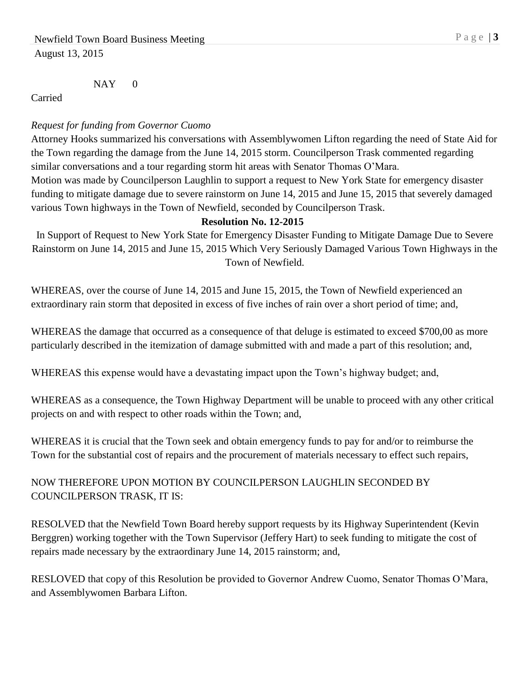$NAY$  0

Carried

### *Request for funding from Governor Cuomo*

Attorney Hooks summarized his conversations with Assemblywomen Lifton regarding the need of State Aid for the Town regarding the damage from the June 14, 2015 storm. Councilperson Trask commented regarding similar conversations and a tour regarding storm hit areas with Senator Thomas O'Mara. Motion was made by Councilperson Laughlin to support a request to New York State for emergency disaster funding to mitigate damage due to severe rainstorm on June 14, 2015 and June 15, 2015 that severely damaged

various Town highways in the Town of Newfield, seconded by Councilperson Trask.

#### **Resolution No. 12-2015**

In Support of Request to New York State for Emergency Disaster Funding to Mitigate Damage Due to Severe Rainstorm on June 14, 2015 and June 15, 2015 Which Very Seriously Damaged Various Town Highways in the Town of Newfield.

WHEREAS, over the course of June 14, 2015 and June 15, 2015, the Town of Newfield experienced an extraordinary rain storm that deposited in excess of five inches of rain over a short period of time; and,

WHEREAS the damage that occurred as a consequence of that deluge is estimated to exceed \$700,00 as more particularly described in the itemization of damage submitted with and made a part of this resolution; and,

WHEREAS this expense would have a devastating impact upon the Town's highway budget; and,

WHEREAS as a consequence, the Town Highway Department will be unable to proceed with any other critical projects on and with respect to other roads within the Town; and,

WHEREAS it is crucial that the Town seek and obtain emergency funds to pay for and/or to reimburse the Town for the substantial cost of repairs and the procurement of materials necessary to effect such repairs,

# NOW THEREFORE UPON MOTION BY COUNCILPERSON LAUGHLIN SECONDED BY COUNCILPERSON TRASK, IT IS:

RESOLVED that the Newfield Town Board hereby support requests by its Highway Superintendent (Kevin Berggren) working together with the Town Supervisor (Jeffery Hart) to seek funding to mitigate the cost of repairs made necessary by the extraordinary June 14, 2015 rainstorm; and,

RESLOVED that copy of this Resolution be provided to Governor Andrew Cuomo, Senator Thomas O'Mara, and Assemblywomen Barbara Lifton.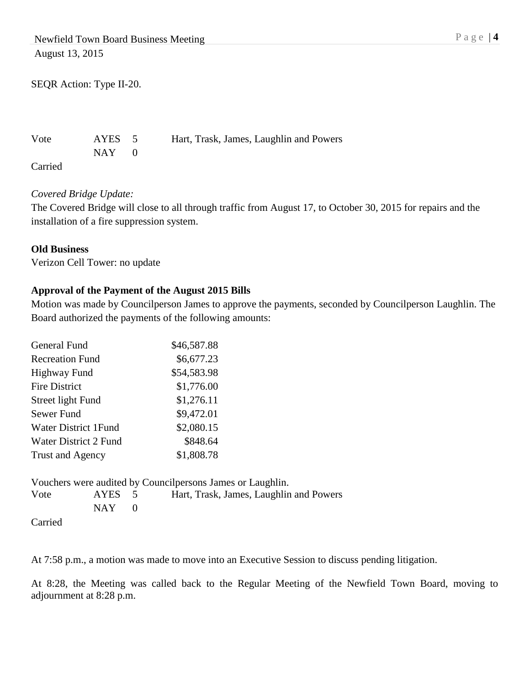SEQR Action: Type II-20.

 $NAY$  0

Vote AYES 5 Hart, Trask, James, Laughlin and Powers

Carried

### *Covered Bridge Update:*

The Covered Bridge will close to all through traffic from August 17, to October 30, 2015 for repairs and the installation of a fire suppression system.

#### **Old Business**

Verizon Cell Tower: no update

### **Approval of the Payment of the August 2015 Bills**

Motion was made by Councilperson James to approve the payments, seconded by Councilperson Laughlin. The Board authorized the payments of the following amounts:

| General Fund                | \$46,587.88 |
|-----------------------------|-------------|
| <b>Recreation Fund</b>      | \$6,677.23  |
| <b>Highway Fund</b>         | \$54,583.98 |
| <b>Fire District</b>        | \$1,776.00  |
| Street light Fund           | \$1,276.11  |
| Sewer Fund                  | \$9,472.01  |
| <b>Water District 1Fund</b> | \$2,080.15  |
| Water District 2 Fund       | \$848.64    |
| <b>Trust and Agency</b>     | \$1,808.78  |

|            |           | Vouchers were audited by Council persons James or Laughlin. |
|------------|-----------|-------------------------------------------------------------|
| Vote       | AYES 5    | Hart, Trask, James, Laughlin and Powers                     |
|            | $NAY = 0$ |                                                             |
| $C$ arriad |           |                                                             |

Carried

At 7:58 p.m., a motion was made to move into an Executive Session to discuss pending litigation.

At 8:28, the Meeting was called back to the Regular Meeting of the Newfield Town Board, moving to adjournment at 8:28 p.m.